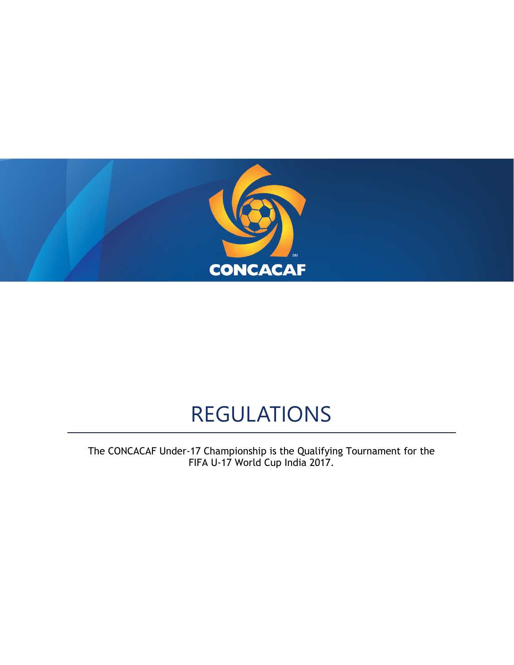

# REGULATIONS

The CONCACAF Under-17 Championship is the Qualifying Tournament for the FIFA U-17 World Cup India 2017.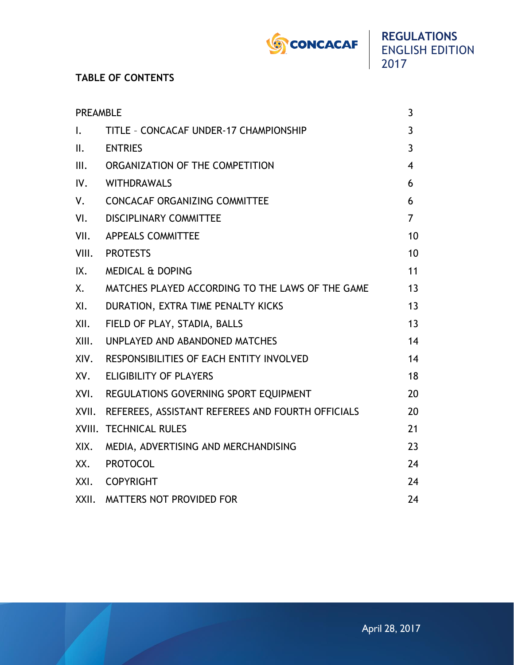

# **TABLE OF CONTENTS**

| <b>PREAMBLE</b> |                                                         | 3              |
|-----------------|---------------------------------------------------------|----------------|
| $\mathbf{L}$    | TITLE - CONCACAF UNDER-17 CHAMPIONSHIP                  | 3              |
| II.             | <b>ENTRIES</b>                                          | 3              |
| III.            | ORGANIZATION OF THE COMPETITION                         | $\overline{4}$ |
| IV.             | WITHDRAWALS                                             | 6              |
| V.              | <b>CONCACAF ORGANIZING COMMITTEE</b>                    | 6              |
| VI.             | <b>DISCIPLINARY COMMITTEE</b>                           | 7              |
| VII.            | <b>APPEALS COMMITTEE</b>                                | 10             |
|                 | VIII. PROTESTS                                          | 10             |
| IX.             | <b>MEDICAL &amp; DOPING</b>                             | 11             |
| Χ.              | MATCHES PLAYED ACCORDING TO THE LAWS OF THE GAME        | 13             |
| XI.             | DURATION, EXTRA TIME PENALTY KICKS                      | 13             |
| XII.            | FIELD OF PLAY, STADIA, BALLS                            | 13             |
| XIII.           | UNPLAYED AND ABANDONED MATCHES                          | 14             |
|                 | XIV. RESPONSIBILITIES OF EACH ENTITY INVOLVED           | 14             |
|                 | XV. ELIGIBILITY OF PLAYERS                              | 18             |
|                 | XVI. REGULATIONS GOVERNING SPORT EQUIPMENT              | 20             |
|                 | XVII. REFEREES, ASSISTANT REFEREES AND FOURTH OFFICIALS | 20             |
|                 | XVIII. TECHNICAL RULES                                  | 21             |
| XIX.            | MEDIA, ADVERTISING AND MERCHANDISING                    | 23             |
|                 | XX. PROTOCOL                                            | 24             |
|                 | XXI. COPYRIGHT                                          | 24             |
| XXII.           | MATTERS NOT PROVIDED FOR                                | 24             |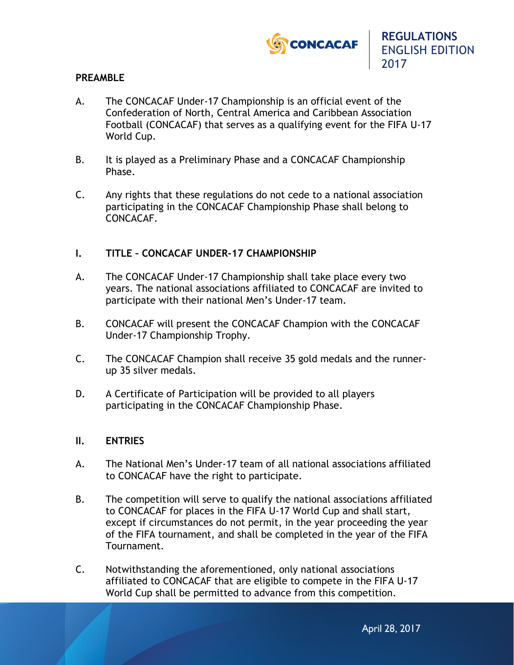

## **PREAMBLE**

- A. The CONCACAF Under-17 Championship is an official event of the Confederation of North, Central America and Caribbean Association Football (CONCACAF) that serves as a qualifying event for the FIFA U-17 World Cup.
- B. It is played as a Preliminary Phase and a CONCACAF Championship Phase.
- C. Any rights that these regulations do not cede to a national association participating in the CONCACAF Championship Phase shall belong to CONCACAF.

## **I. TITLE – CONCACAF UNDER-17 CHAMPIONSHIP**

- A. The CONCACAF Under-17 Championship shall take place every two years. The national associations affiliated to CONCACAF are invited to participate with their national Men's Under-17 team.
- B. CONCACAF will present the CONCACAF Champion with the CONCACAF Under-17 Championship Trophy.
- C. The CONCACAF Champion shall receive 35 gold medals and the runnerup 35 silver medals.
- D. A Certificate of Participation will be provided to all players participating in the CONCACAF Championship Phase.

## **II. ENTRIES**

- A. The National Men's Under-17 team of all national associations affiliated to CONCACAF have the right to participate.
- B. The competition will serve to qualify the national associations affiliated to CONCACAF for places in the FIFA U-17 World Cup and shall start, except if circumstances do not permit, in the year proceeding the year of the FIFA tournament, and shall be completed in the year of the FIFA Tournament.
- C. Notwithstanding the aforementioned, only national associations affiliated to CONCACAF that are eligible to compete in the FIFA U-17 World Cup shall be permitted to advance from this competition.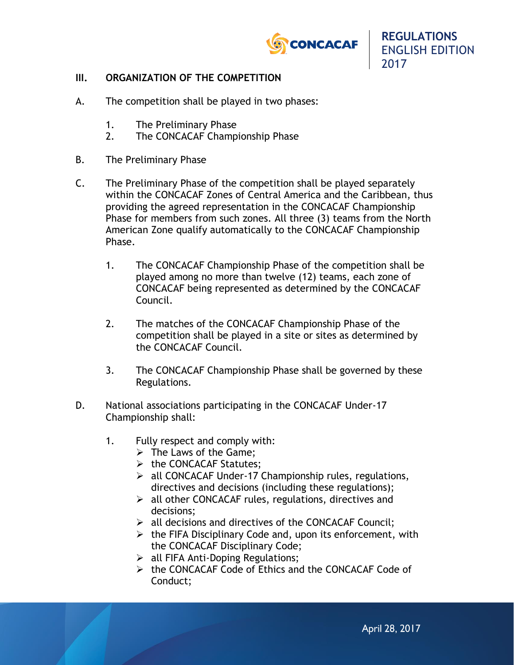

## **III. ORGANIZATION OF THE COMPETITION**

- A. The competition shall be played in two phases:
	- 1. The Preliminary Phase
	- 2. The CONCACAF Championship Phase
- B. The Preliminary Phase
- C. The Preliminary Phase of the competition shall be played separately within the CONCACAF Zones of Central America and the Caribbean, thus providing the agreed representation in the CONCACAF Championship Phase for members from such zones. All three (3) teams from the North American Zone qualify automatically to the CONCACAF Championship Phase.
	- 1. The CONCACAF Championship Phase of the competition shall be played among no more than twelve (12) teams, each zone of CONCACAF being represented as determined by the CONCACAF Council.
	- 2. The matches of the CONCACAF Championship Phase of the competition shall be played in a site or sites as determined by the CONCACAF Council.
	- 3. The CONCACAF Championship Phase shall be governed by these Regulations.
- D. National associations participating in the CONCACAF Under-17 Championship shall:
	- 1. Fully respect and comply with:
		- $\triangleright$  The Laws of the Game;
		- $\triangleright$  the CONCACAF Statutes;
		- $\triangleright$  all CONCACAF Under-17 Championship rules, regulations, directives and decisions (including these regulations);
		- $\triangleright$  all other CONCACAF rules, regulations, directives and decisions;
		- $\triangleright$  all decisions and directives of the CONCACAF Council;
		- $\triangleright$  the FIFA Disciplinary Code and, upon its enforcement, with the CONCACAF Disciplinary Code;
		- $\triangleright$  all FIFA Anti-Doping Regulations;
		- $\triangleright$  the CONCACAF Code of Ethics and the CONCACAF Code of Conduct;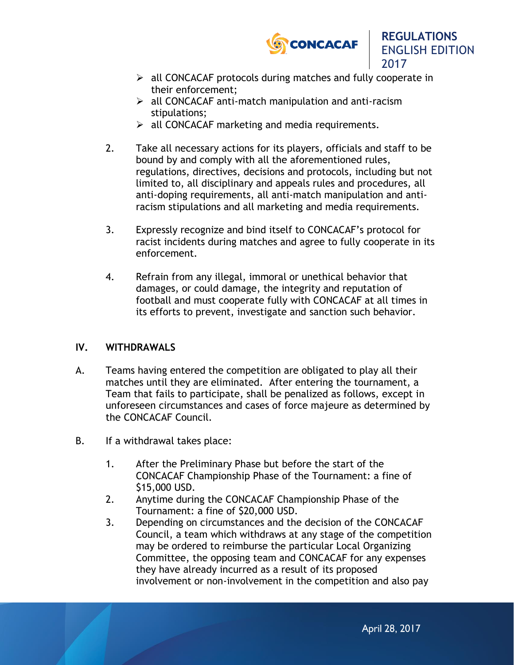

2017

- $\triangleright$  all CONCACAF protocols during matches and fully cooperate in their enforcement;
- $\triangleright$  all CONCACAF anti-match manipulation and anti-racism stipulations;
- $\triangleright$  all CONCACAF marketing and media requirements.
- 2. Take all necessary actions for its players, officials and staff to be bound by and comply with all the aforementioned rules, regulations, directives, decisions and protocols, including but not limited to, all disciplinary and appeals rules and procedures, all anti-doping requirements, all anti-match manipulation and antiracism stipulations and all marketing and media requirements.
- 3. Expressly recognize and bind itself to CONCACAF's protocol for racist incidents during matches and agree to fully cooperate in its enforcement.
- 4. Refrain from any illegal, immoral or unethical behavior that damages, or could damage, the integrity and reputation of football and must cooperate fully with CONCACAF at all times in its efforts to prevent, investigate and sanction such behavior.

## **IV. WITHDRAWALS**

- A. Teams having entered the competition are obligated to play all their matches until they are eliminated. After entering the tournament, a Team that fails to participate, shall be penalized as follows, except in unforeseen circumstances and cases of force majeure as determined by the CONCACAF Council.
- B. If a withdrawal takes place:
	- 1. After the Preliminary Phase but before the start of the CONCACAF Championship Phase of the Tournament: a fine of \$15,000 USD.
	- 2. Anytime during the CONCACAF Championship Phase of the Tournament: a fine of \$20,000 USD.
	- 3. Depending on circumstances and the decision of the CONCACAF Council, a team which withdraws at any stage of the competition may be ordered to reimburse the particular Local Organizing Committee, the opposing team and CONCACAF for any expenses they have already incurred as a result of its proposed involvement or non-involvement in the competition and also pay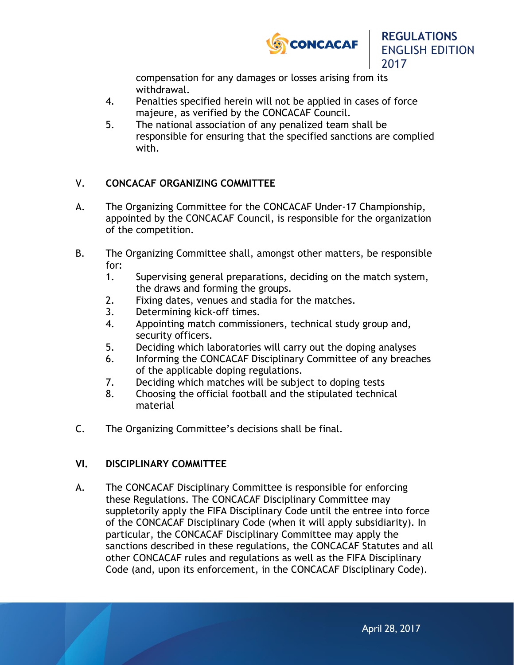

compensation for any damages or losses arising from its withdrawal.

- 4. Penalties specified herein will not be applied in cases of force majeure, as verified by the CONCACAF Council.
- 5. The national association of any penalized team shall be responsible for ensuring that the specified sanctions are complied with.

## V. **CONCACAF ORGANIZING COMMITTEE**

- A. The Organizing Committee for the CONCACAF Under-17 Championship, appointed by the CONCACAF Council, is responsible for the organization of the competition.
- B. The Organizing Committee shall, amongst other matters, be responsible for:
	- 1. Supervising general preparations, deciding on the match system, the draws and forming the groups.
	- 2. Fixing dates, venues and stadia for the matches.
	- 3. Determining kick-off times.
	- 4. Appointing match commissioners, technical study group and, security officers.
	- 5. Deciding which laboratories will carry out the doping analyses
	- 6. Informing the CONCACAF Disciplinary Committee of any breaches of the applicable doping regulations.
	- 7. Deciding which matches will be subject to doping tests
	- 8. Choosing the official football and the stipulated technical material
- C. The Organizing Committee's decisions shall be final.

# **VI. DISCIPLINARY COMMITTEE**

A. The CONCACAF Disciplinary Committee is responsible for enforcing these Regulations. The CONCACAF Disciplinary Committee may suppletorily apply the FIFA Disciplinary Code until the entree into force of the CONCACAF Disciplinary Code (when it will apply subsidiarity). In particular, the CONCACAF Disciplinary Committee may apply the sanctions described in these regulations, the CONCACAF Statutes and all other CONCACAF rules and regulations as well as the FIFA Disciplinary Code (and, upon its enforcement, in the CONCACAF Disciplinary Code).

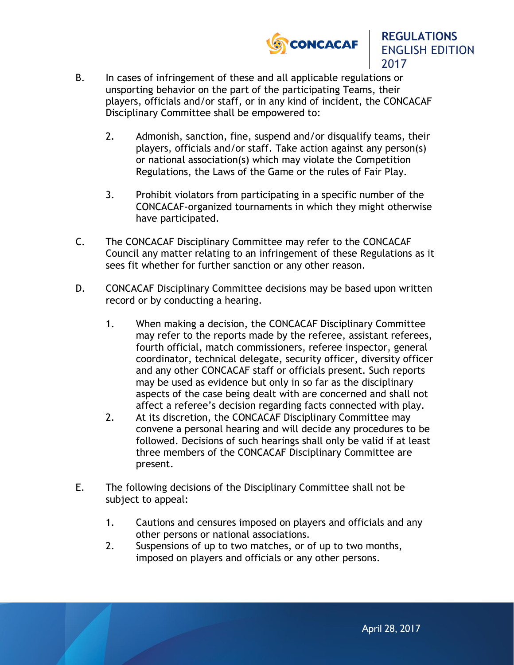



- B. In cases of infringement of these and all applicable regulations or unsporting behavior on the part of the participating Teams, their players, officials and/or staff, or in any kind of incident, the CONCACAF Disciplinary Committee shall be empowered to:
	- 2. Admonish, sanction, fine, suspend and/or disqualify teams, their players, officials and/or staff. Take action against any person(s) or national association(s) which may violate the Competition Regulations, the Laws of the Game or the rules of Fair Play.
	- 3. Prohibit violators from participating in a specific number of the CONCACAF-organized tournaments in which they might otherwise have participated.
- C. The CONCACAF Disciplinary Committee may refer to the CONCACAF Council any matter relating to an infringement of these Regulations as it sees fit whether for further sanction or any other reason.
- D. CONCACAF Disciplinary Committee decisions may be based upon written record or by conducting a hearing.
	- 1. When making a decision, the CONCACAF Disciplinary Committee may refer to the reports made by the referee, assistant referees, fourth official, match commissioners, referee inspector, general coordinator, technical delegate, security officer, diversity officer and any other CONCACAF staff or officials present. Such reports may be used as evidence but only in so far as the disciplinary aspects of the case being dealt with are concerned and shall not affect a referee's decision regarding facts connected with play.
	- 2. At its discretion, the CONCACAF Disciplinary Committee may convene a personal hearing and will decide any procedures to be followed. Decisions of such hearings shall only be valid if at least three members of the CONCACAF Disciplinary Committee are present.
- E. The following decisions of the Disciplinary Committee shall not be subject to appeal:
	- 1. Cautions and censures imposed on players and officials and any other persons or national associations.
	- 2. Suspensions of up to two matches, or of up to two months, imposed on players and officials or any other persons.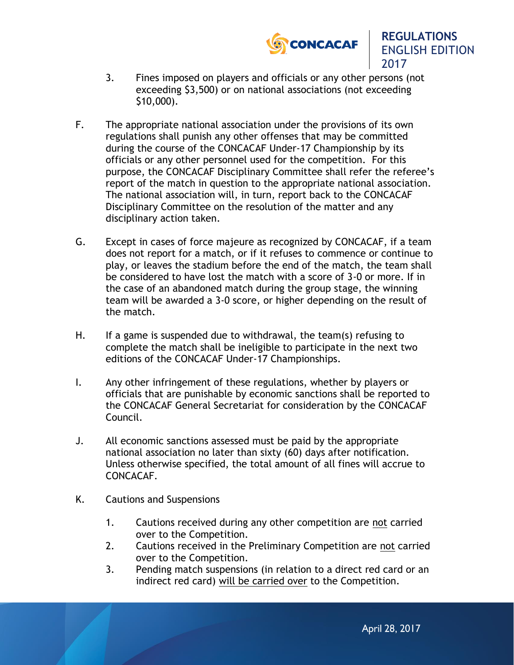



- 3. Fines imposed on players and officials or any other persons (not exceeding \$3,500) or on national associations (not exceeding \$10,000).
- F. The appropriate national association under the provisions of its own regulations shall punish any other offenses that may be committed during the course of the CONCACAF Under-17 Championship by its officials or any other personnel used for the competition. For this purpose, the CONCACAF Disciplinary Committee shall refer the referee's report of the match in question to the appropriate national association. The national association will, in turn, report back to the CONCACAF Disciplinary Committee on the resolution of the matter and any disciplinary action taken.
- G. Except in cases of force majeure as recognized by CONCACAF, if a team does not report for a match, or if it refuses to commence or continue to play, or leaves the stadium before the end of the match, the team shall be considered to have lost the match with a score of 3-0 or more. If in the case of an abandoned match during the group stage, the winning team will be awarded a 3-0 score, or higher depending on the result of the match.
- H. If a game is suspended due to withdrawal, the team(s) refusing to complete the match shall be ineligible to participate in the next two editions of the CONCACAF Under-17 Championships.
- I. Any other infringement of these regulations, whether by players or officials that are punishable by economic sanctions shall be reported to the CONCACAF General Secretariat for consideration by the CONCACAF Council.
- J. All economic sanctions assessed must be paid by the appropriate national association no later than sixty (60) days after notification. Unless otherwise specified, the total amount of all fines will accrue to CONCACAF.
- K. Cautions and Suspensions
	- 1. Cautions received during any other competition are not carried over to the Competition.
	- 2. Cautions received in the Preliminary Competition are not carried over to the Competition.
	- 3. Pending match suspensions (in relation to a direct red card or an indirect red card) will be carried over to the Competition.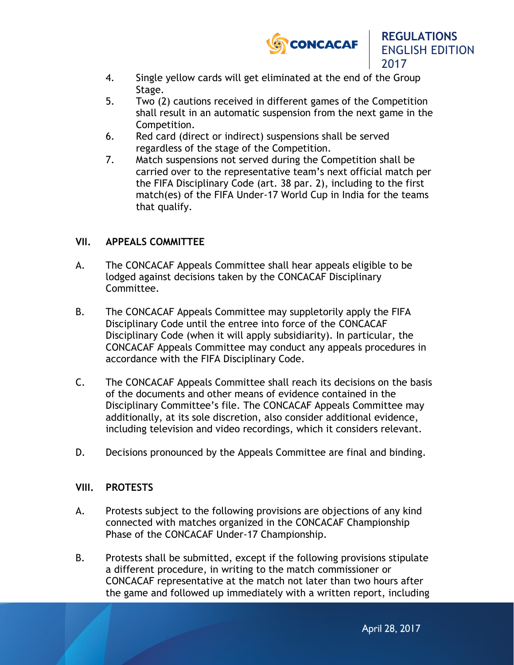

2017

- 4. Single yellow cards will get eliminated at the end of the Group Stage.
- 5. Two (2) cautions received in different games of the Competition shall result in an automatic suspension from the next game in the Competition.
- 6. Red card (direct or indirect) suspensions shall be served regardless of the stage of the Competition.
- 7. Match suspensions not served during the Competition shall be carried over to the representative team's next official match per the FIFA Disciplinary Code (art. 38 par. 2), including to the first match(es) of the FIFA Under-17 World Cup in India for the teams that qualify.

## **VII. APPEALS COMMITTEE**

- A. The CONCACAF Appeals Committee shall hear appeals eligible to be lodged against decisions taken by the CONCACAF Disciplinary Committee.
- B. The CONCACAF Appeals Committee may suppletorily apply the FIFA Disciplinary Code until the entree into force of the CONCACAF Disciplinary Code (when it will apply subsidiarity). In particular, the CONCACAF Appeals Committee may conduct any appeals procedures in accordance with the FIFA Disciplinary Code.
- C. The CONCACAF Appeals Committee shall reach its decisions on the basis of the documents and other means of evidence contained in the Disciplinary Committee's file. The CONCACAF Appeals Committee may additionally, at its sole discretion, also consider additional evidence, including television and video recordings, which it considers relevant.
- D. Decisions pronounced by the Appeals Committee are final and binding.

## **VIII. PROTESTS**

- A. Protests subject to the following provisions are objections of any kind connected with matches organized in the CONCACAF Championship Phase of the CONCACAF Under-17 Championship.
- B. Protests shall be submitted, except if the following provisions stipulate a different procedure, in writing to the match commissioner or CONCACAF representative at the match not later than two hours after the game and followed up immediately with a written report, including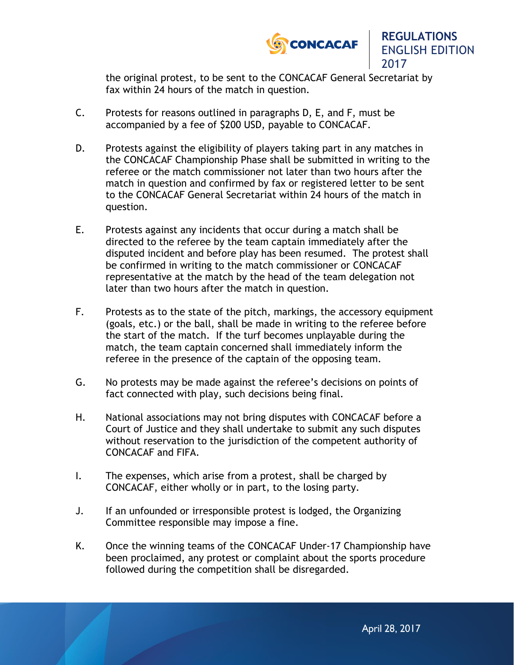

2017

the original protest, to be sent to the CONCACAF General Secretariat by fax within 24 hours of the match in question.

- C. Protests for reasons outlined in paragraphs D, E, and F, must be accompanied by a fee of \$200 USD, payable to CONCACAF.
- D. Protests against the eligibility of players taking part in any matches in the CONCACAF Championship Phase shall be submitted in writing to the referee or the match commissioner not later than two hours after the match in question and confirmed by fax or registered letter to be sent to the CONCACAF General Secretariat within 24 hours of the match in question.
- E. Protests against any incidents that occur during a match shall be directed to the referee by the team captain immediately after the disputed incident and before play has been resumed. The protest shall be confirmed in writing to the match commissioner or CONCACAF representative at the match by the head of the team delegation not later than two hours after the match in question.
- F. Protests as to the state of the pitch, markings, the accessory equipment (goals, etc.) or the ball, shall be made in writing to the referee before the start of the match. If the turf becomes unplayable during the match, the team captain concerned shall immediately inform the referee in the presence of the captain of the opposing team.
- G. No protests may be made against the referee's decisions on points of fact connected with play, such decisions being final.
- H. National associations may not bring disputes with CONCACAF before a Court of Justice and they shall undertake to submit any such disputes without reservation to the jurisdiction of the competent authority of CONCACAF and FIFA.
- I. The expenses, which arise from a protest, shall be charged by CONCACAF, either wholly or in part, to the losing party.
- J. If an unfounded or irresponsible protest is lodged, the Organizing Committee responsible may impose a fine.
- K. Once the winning teams of the CONCACAF Under-17 Championship have been proclaimed, any protest or complaint about the sports procedure followed during the competition shall be disregarded.

April 28, 2017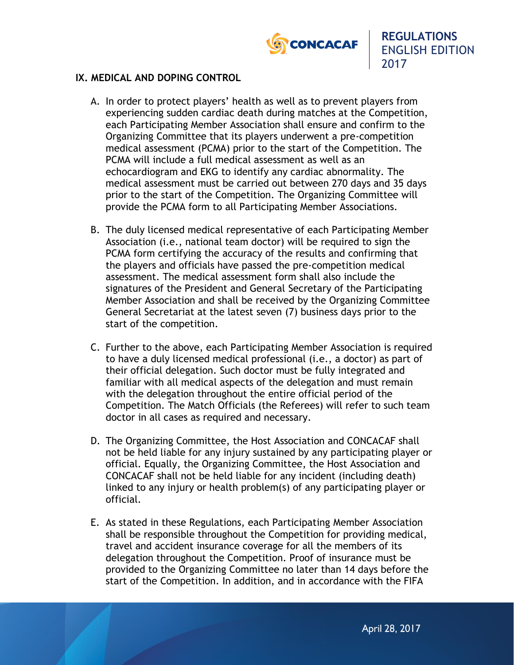

## **IX. MEDICAL AND DOPING CONTROL**

- A. In order to protect players' health as well as to prevent players from experiencing sudden cardiac death during matches at the Competition, each Participating Member Association shall ensure and confirm to the Organizing Committee that its players underwent a pre-competition medical assessment (PCMA) prior to the start of the Competition. The PCMA will include a full medical assessment as well as an echocardiogram and EKG to identify any cardiac abnormality. The medical assessment must be carried out between 270 days and 35 days prior to the start of the Competition. The Organizing Committee will provide the PCMA form to all Participating Member Associations.
- B. The duly licensed medical representative of each Participating Member Association (i.e., national team doctor) will be required to sign the PCMA form certifying the accuracy of the results and confirming that the players and officials have passed the pre-competition medical assessment. The medical assessment form shall also include the signatures of the President and General Secretary of the Participating Member Association and shall be received by the Organizing Committee General Secretariat at the latest seven (7) business days prior to the start of the competition.
- C. Further to the above, each Participating Member Association is required to have a duly licensed medical professional (i.e., a doctor) as part of their official delegation. Such doctor must be fully integrated and familiar with all medical aspects of the delegation and must remain with the delegation throughout the entire official period of the Competition. The Match Officials (the Referees) will refer to such team doctor in all cases as required and necessary.
- D. The Organizing Committee, the Host Association and CONCACAF shall not be held liable for any injury sustained by any participating player or official. Equally, the Organizing Committee, the Host Association and CONCACAF shall not be held liable for any incident (including death) linked to any injury or health problem(s) of any participating player or official.
- E. As stated in these Regulations, each Participating Member Association shall be responsible throughout the Competition for providing medical, travel and accident insurance coverage for all the members of its delegation throughout the Competition. Proof of insurance must be provided to the Organizing Committee no later than 14 days before the start of the Competition. In addition, and in accordance with the FIFA

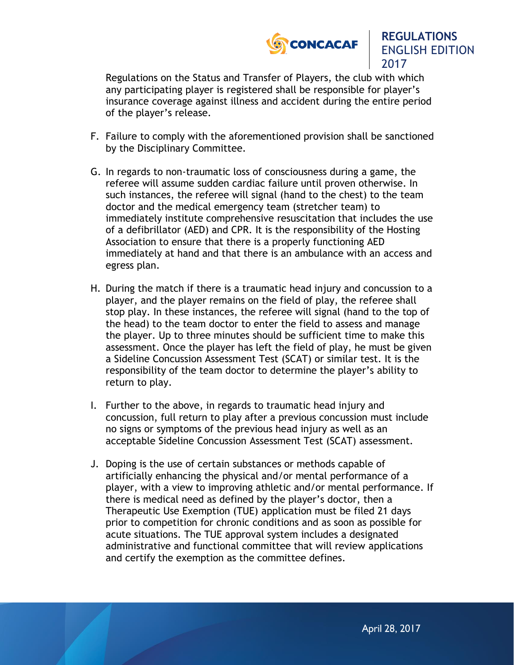

Regulations on the Status and Transfer of Players, the club with which any participating player is registered shall be responsible for player's insurance coverage against illness and accident during the entire period of the player's release.

- F. Failure to comply with the aforementioned provision shall be sanctioned by the Disciplinary Committee.
- G. In regards to non-traumatic loss of consciousness during a game, the referee will assume sudden cardiac failure until proven otherwise. In such instances, the referee will signal (hand to the chest) to the team doctor and the medical emergency team (stretcher team) to immediately institute comprehensive resuscitation that includes the use of a defibrillator (AED) and CPR. It is the responsibility of the Hosting Association to ensure that there is a properly functioning AED immediately at hand and that there is an ambulance with an access and egress plan.
- H. During the match if there is a traumatic head injury and concussion to a player, and the player remains on the field of play, the referee shall stop play. In these instances, the referee will signal (hand to the top of the head) to the team doctor to enter the field to assess and manage the player. Up to three minutes should be sufficient time to make this assessment. Once the player has left the field of play, he must be given a Sideline Concussion Assessment Test (SCAT) or similar test. It is the responsibility of the team doctor to determine the player's ability to return to play.
- I. Further to the above, in regards to traumatic head injury and concussion, full return to play after a previous concussion must include no signs or symptoms of the previous head injury as well as an acceptable Sideline Concussion Assessment Test (SCAT) assessment.
- J. Doping is the use of certain substances or methods capable of artificially enhancing the physical and/or mental performance of a player, with a view to improving athletic and/or mental performance. If there is medical need as defined by the player's doctor, then a Therapeutic Use Exemption (TUE) application must be filed 21 days prior to competition for chronic conditions and as soon as possible for acute situations. The TUE approval system includes a designated administrative and functional committee that will review applications and certify the exemption as the committee defines.

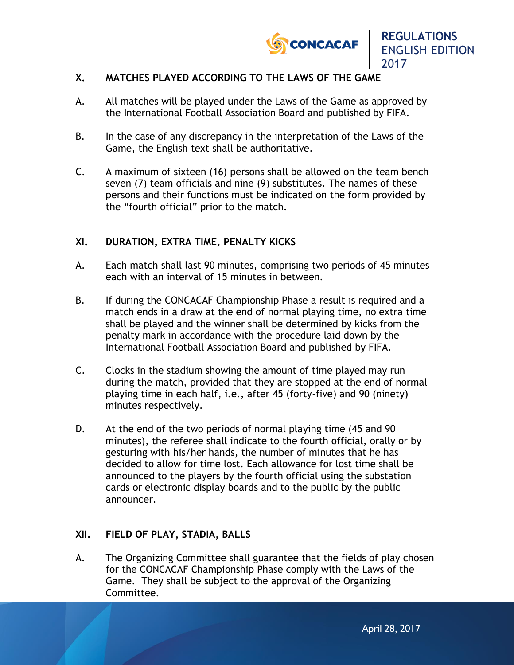

2017

## **X. MATCHES PLAYED ACCORDING TO THE LAWS OF THE GAME**

- A. All matches will be played under the Laws of the Game as approved by the International Football Association Board and published by FIFA.
- B. In the case of any discrepancy in the interpretation of the Laws of the Game, the English text shall be authoritative.
- C. A maximum of sixteen (16) persons shall be allowed on the team bench seven (7) team officials and nine (9) substitutes. The names of these persons and their functions must be indicated on the form provided by the "fourth official" prior to the match.

#### **XI. DURATION, EXTRA TIME, PENALTY KICKS**

- A. Each match shall last 90 minutes, comprising two periods of 45 minutes each with an interval of 15 minutes in between.
- B. If during the CONCACAF Championship Phase a result is required and a match ends in a draw at the end of normal playing time, no extra time shall be played and the winner shall be determined by kicks from the penalty mark in accordance with the procedure laid down by the International Football Association Board and published by FIFA.
- C. Clocks in the stadium showing the amount of time played may run during the match, provided that they are stopped at the end of normal playing time in each half, i.e., after 45 (forty-five) and 90 (ninety) minutes respectively.
- D. At the end of the two periods of normal playing time (45 and 90 minutes), the referee shall indicate to the fourth official, orally or by gesturing with his/her hands, the number of minutes that he has decided to allow for time lost. Each allowance for lost time shall be announced to the players by the fourth official using the substation cards or electronic display boards and to the public by the public announcer.

#### **XII. FIELD OF PLAY, STADIA, BALLS**

A. The Organizing Committee shall guarantee that the fields of play chosen for the CONCACAF Championship Phase comply with the Laws of the Game. They shall be subject to the approval of the Organizing Committee.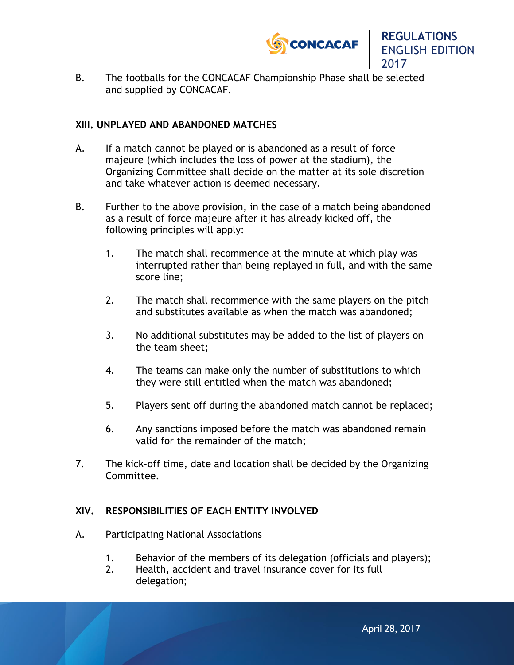

- **REGULATIONS** ENGLISH EDITION 2017
- B. The footballs for the CONCACAF Championship Phase shall be selected and supplied by CONCACAF.

## **XIII. UNPLAYED AND ABANDONED MATCHES**

- A. If a match cannot be played or is abandoned as a result of force majeure (which includes the loss of power at the stadium), the Organizing Committee shall decide on the matter at its sole discretion and take whatever action is deemed necessary.
- B. Further to the above provision, in the case of a match being abandoned as a result of force majeure after it has already kicked off, the following principles will apply:
	- 1. The match shall recommence at the minute at which play was interrupted rather than being replayed in full, and with the same score line;
	- 2. The match shall recommence with the same players on the pitch and substitutes available as when the match was abandoned;
	- 3. No additional substitutes may be added to the list of players on the team sheet;
	- 4. The teams can make only the number of substitutions to which they were still entitled when the match was abandoned;
	- 5. Players sent off during the abandoned match cannot be replaced;
	- 6. Any sanctions imposed before the match was abandoned remain valid for the remainder of the match;
- 7. The kick-off time, date and location shall be decided by the Organizing Committee.

## **XIV. RESPONSIBILITIES OF EACH ENTITY INVOLVED**

- A. Participating National Associations
	- 1. Behavior of the members of its delegation (officials and players);
	- 2. Health, accident and travel insurance cover for its full delegation;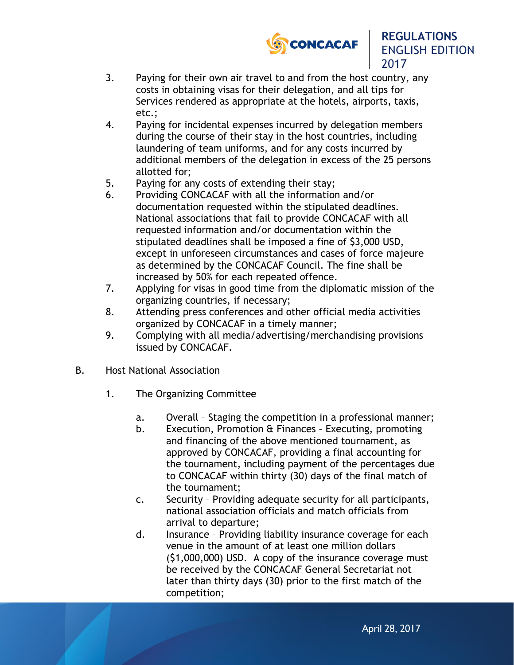



- 3. Paying for their own air travel to and from the host country, any costs in obtaining visas for their delegation, and all tips for Services rendered as appropriate at the hotels, airports, taxis, etc.;
- 4. Paying for incidental expenses incurred by delegation members during the course of their stay in the host countries, including laundering of team uniforms, and for any costs incurred by additional members of the delegation in excess of the 25 persons allotted for;
- 5. Paying for any costs of extending their stay;
- 6. Providing CONCACAF with all the information and/or documentation requested within the stipulated deadlines. National associations that fail to provide CONCACAF with all requested information and/or documentation within the stipulated deadlines shall be imposed a fine of \$3,000 USD, except in unforeseen circumstances and cases of force majeure as determined by the CONCACAF Council. The fine shall be increased by 50% for each repeated offence.
- 7. Applying for visas in good time from the diplomatic mission of the organizing countries, if necessary;
- 8. Attending press conferences and other official media activities organized by CONCACAF in a timely manner;
- 9. Complying with all media/advertising/merchandising provisions issued by CONCACAF.
- B. Host National Association
	- 1. The Organizing Committee
		- a. Overall Staging the competition in a professional manner;
		- b. Execution, Promotion & Finances Executing, promoting and financing of the above mentioned tournament, as approved by CONCACAF, providing a final accounting for the tournament, including payment of the percentages due to CONCACAF within thirty (30) days of the final match of the tournament;
		- c. Security Providing adequate security for all participants, national association officials and match officials from arrival to departure;
		- d. Insurance Providing liability insurance coverage for each venue in the amount of at least one million dollars (\$1,000,000) USD. A copy of the insurance coverage must be received by the CONCACAF General Secretariat not later than thirty days (30) prior to the first match of the competition;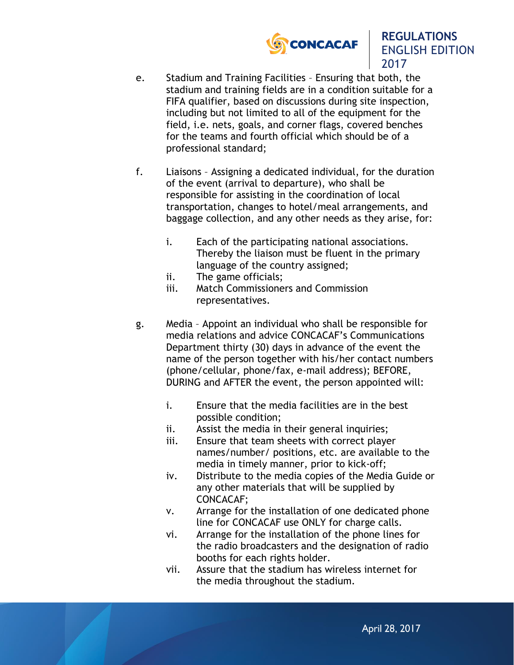

- e. Stadium and Training Facilities Ensuring that both, the stadium and training fields are in a condition suitable for a FIFA qualifier, based on discussions during site inspection, including but not limited to all of the equipment for the field, i.e. nets, goals, and corner flags, covered benches for the teams and fourth official which should be of a professional standard;
- f. Liaisons Assigning a dedicated individual, for the duration of the event (arrival to departure), who shall be responsible for assisting in the coordination of local transportation, changes to hotel/meal arrangements, and baggage collection, and any other needs as they arise, for:
	- i. Each of the participating national associations. Thereby the liaison must be fluent in the primary language of the country assigned;
	- ii. The game officials;
	- iii. Match Commissioners and Commission representatives.
- g. Media Appoint an individual who shall be responsible for media relations and advice CONCACAF's Communications Department thirty (30) days in advance of the event the name of the person together with his/her contact numbers (phone/cellular, phone/fax, e-mail address); BEFORE, DURING and AFTER the event, the person appointed will:
	- i. Ensure that the media facilities are in the best possible condition;
	- ii. Assist the media in their general inquiries;
	- iii. Ensure that team sheets with correct player names/number/ positions, etc. are available to the media in timely manner, prior to kick-off;
	- iv. Distribute to the media copies of the Media Guide or any other materials that will be supplied by CONCACAF;
	- v. Arrange for the installation of one dedicated phone line for CONCACAF use ONLY for charge calls.
	- vi. Arrange for the installation of the phone lines for the radio broadcasters and the designation of radio booths for each rights holder.
	- vii. Assure that the stadium has wireless internet for the media throughout the stadium.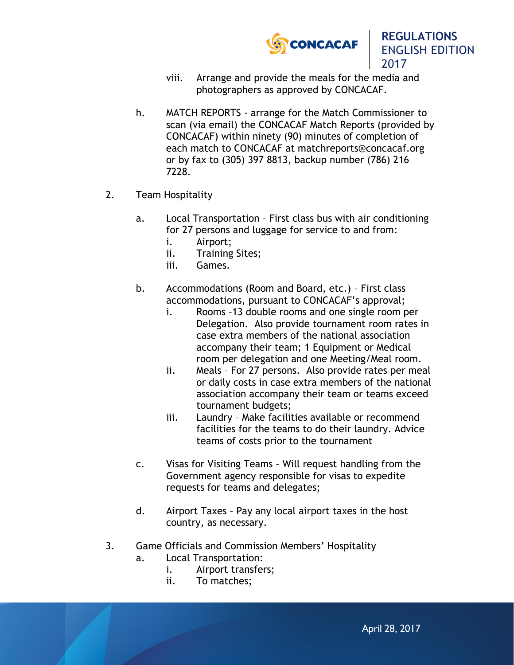

2017

- viii. Arrange and provide the meals for the media and photographers as approved by CONCACAF.
- h. MATCH REPORTS arrange for the Match Commissioner to scan (via email) the CONCACAF Match Reports (provided by CONCACAF) within ninety (90) minutes of completion of each match to CONCACAF at matchreports@concacaf.org or by fax to (305) 397 8813, backup number (786) 216 7228.
- 2. Team Hospitality
	- a. Local Transportation First class bus with air conditioning for 27 persons and luggage for service to and from:
		- i. Airport;
		- ii. Training Sites;
		- iii. Games.
	- b. Accommodations (Room and Board, etc.) First class accommodations, pursuant to CONCACAF's approval;
		- i. Rooms –13 double rooms and one single room per Delegation. Also provide tournament room rates in case extra members of the national association accompany their team; 1 Equipment or Medical room per delegation and one Meeting/Meal room.
		- ii. Meals For 27 persons. Also provide rates per meal or daily costs in case extra members of the national association accompany their team or teams exceed tournament budgets;
		- iii. Laundry Make facilities available or recommend facilities for the teams to do their laundry. Advice teams of costs prior to the tournament
	- c. Visas for Visiting Teams Will request handling from the Government agency responsible for visas to expedite requests for teams and delegates;
	- d. Airport Taxes Pay any local airport taxes in the host country, as necessary.
- 3. Game Officials and Commission Members' Hospitality
	- a. Local Transportation:
		- i. Airport transfers;
		- ii. To matches;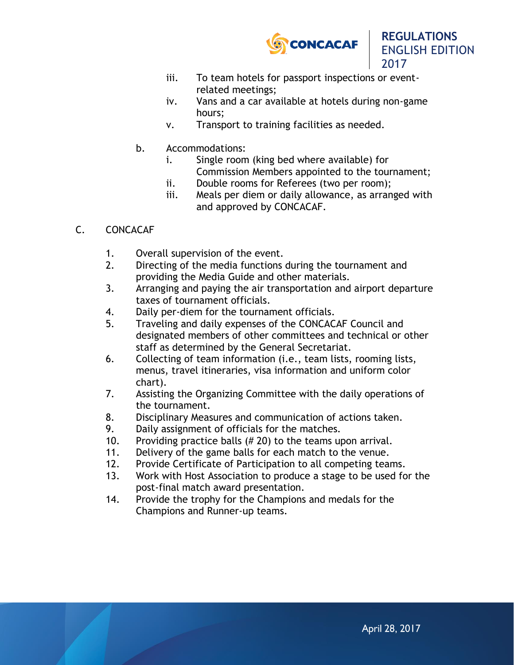

2017

- iii. To team hotels for passport inspections or eventrelated meetings;
- iv. Vans and a car available at hotels during non-game hours;
- v. Transport to training facilities as needed.
- b. Accommodations:
	- i. Single room (king bed where available) for Commission Members appointed to the tournament;
	- ii. Double rooms for Referees (two per room);
	- iii. Meals per diem or daily allowance, as arranged with and approved by CONCACAF.

## C. CONCACAF

- 1. Overall supervision of the event.
- 2. Directing of the media functions during the tournament and providing the Media Guide and other materials.
- 3. Arranging and paying the air transportation and airport departure taxes of tournament officials.
- 4. Daily per-diem for the tournament officials.
- 5. Traveling and daily expenses of the CONCACAF Council and designated members of other committees and technical or other staff as determined by the General Secretariat.
- 6. Collecting of team information (i.e., team lists, rooming lists, menus, travel itineraries, visa information and uniform color chart).
- 7. Assisting the Organizing Committee with the daily operations of the tournament.
- 8. Disciplinary Measures and communication of actions taken.
- 9. Daily assignment of officials for the matches.
- 10. Providing practice balls (# 20) to the teams upon arrival.
- 11. Delivery of the game balls for each match to the venue.
- 12. Provide Certificate of Participation to all competing teams.
- 13. Work with Host Association to produce a stage to be used for the post-final match award presentation.
- 14. Provide the trophy for the Champions and medals for the Champions and Runner-up teams.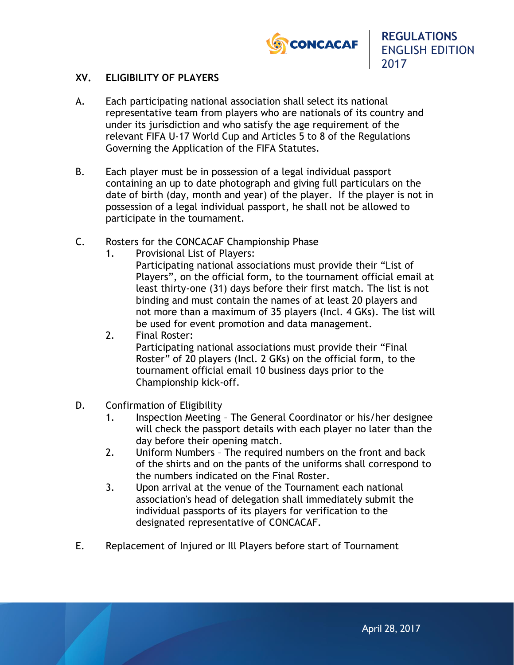

## **XV. ELIGIBILITY OF PLAYERS**

- A. Each participating national association shall select its national representative team from players who are nationals of its country and under its jurisdiction and who satisfy the age requirement of the relevant FIFA U-17 World Cup and Articles 5 to 8 of the Regulations Governing the Application of the FIFA Statutes.
- B. Each player must be in possession of a legal individual passport containing an up to date photograph and giving full particulars on the date of birth (day, month and year) of the player. If the player is not in possession of a legal individual passport, he shall not be allowed to participate in the tournament.
- C. Rosters for the CONCACAF Championship Phase
	- 1. Provisional List of Players:

Participating national associations must provide their "List of Players", on the official form, to the tournament official email at least thirty-one (31) days before their first match. The list is not binding and must contain the names of at least 20 players and not more than a maximum of 35 players (Incl. 4 GKs). The list will be used for event promotion and data management.

2. Final Roster:

Participating national associations must provide their "Final Roster" of 20 players (Incl. 2 GKs) on the official form, to the tournament official email 10 business days prior to the Championship kick-off.

- D. Confirmation of Eligibility
	- 1. Inspection Meeting The General Coordinator or his/her designee will check the passport details with each player no later than the day before their opening match.
	- 2. Uniform Numbers The required numbers on the front and back of the shirts and on the pants of the uniforms shall correspond to the numbers indicated on the Final Roster.
	- 3. Upon arrival at the venue of the Tournament each national association's head of delegation shall immediately submit the individual passports of its players for verification to the designated representative of CONCACAF.
- E. Replacement of Injured or Ill Players before start of Tournament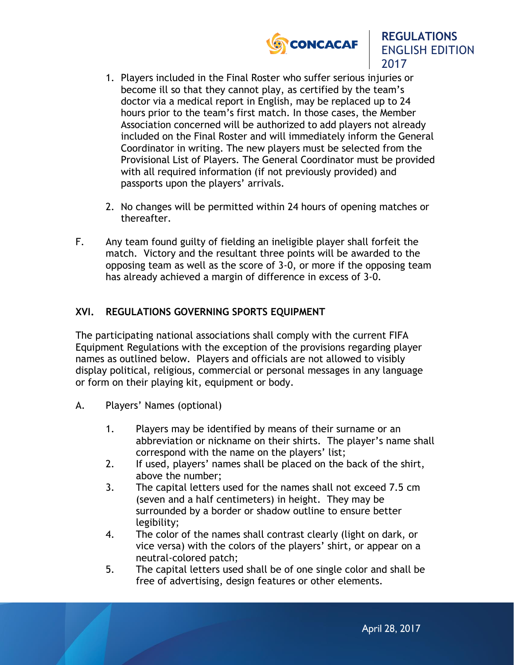



- 1. Players included in the Final Roster who suffer serious injuries or become ill so that they cannot play, as certified by the team's doctor via a medical report in English, may be replaced up to 24 hours prior to the team's first match. In those cases, the Member Association concerned will be authorized to add players not already included on the Final Roster and will immediately inform the General Coordinator in writing. The new players must be selected from the Provisional List of Players. The General Coordinator must be provided with all required information (if not previously provided) and passports upon the players' arrivals.
- 2. No changes will be permitted within 24 hours of opening matches or thereafter.
- F. Any team found guilty of fielding an ineligible player shall forfeit the match. Victory and the resultant three points will be awarded to the opposing team as well as the score of 3-0, or more if the opposing team has already achieved a margin of difference in excess of 3-0.

## **XVI. REGULATIONS GOVERNING SPORTS EQUIPMENT**

The participating national associations shall comply with the current FIFA Equipment Regulations with the exception of the provisions regarding player names as outlined below. Players and officials are not allowed to visibly display political, religious, commercial or personal messages in any language or form on their playing kit, equipment or body.

- A. Players' Names (optional)
	- 1. Players may be identified by means of their surname or an abbreviation or nickname on their shirts. The player's name shall correspond with the name on the players' list;
	- 2. If used, players' names shall be placed on the back of the shirt, above the number;
	- 3. The capital letters used for the names shall not exceed 7.5 cm (seven and a half centimeters) in height. They may be surrounded by a border or shadow outline to ensure better legibility;
	- 4. The color of the names shall contrast clearly (light on dark, or vice versa) with the colors of the players' shirt, or appear on a neutral-colored patch;
	- 5. The capital letters used shall be of one single color and shall be free of advertising, design features or other elements.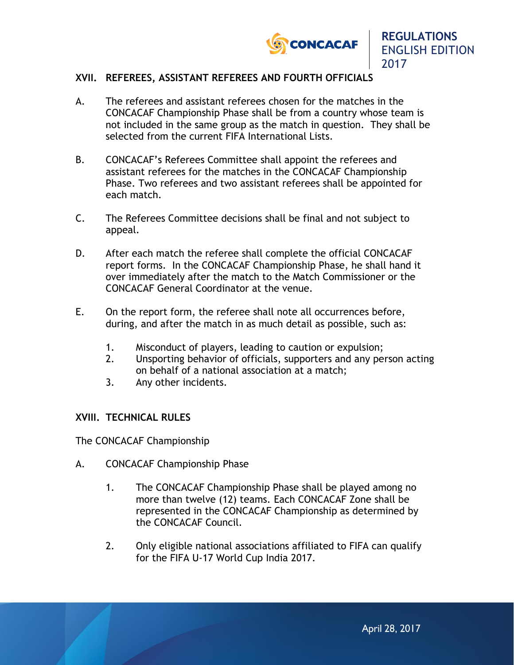

## **XVII. REFEREES, ASSISTANT REFEREES AND FOURTH OFFICIALS**

- A. The referees and assistant referees chosen for the matches in the CONCACAF Championship Phase shall be from a country whose team is not included in the same group as the match in question. They shall be selected from the current FIFA International Lists.
- B. CONCACAF's Referees Committee shall appoint the referees and assistant referees for the matches in the CONCACAF Championship Phase. Two referees and two assistant referees shall be appointed for each match.
- C. The Referees Committee decisions shall be final and not subject to appeal.
- D. After each match the referee shall complete the official CONCACAF report forms. In the CONCACAF Championship Phase, he shall hand it over immediately after the match to the Match Commissioner or the CONCACAF General Coordinator at the venue.
- E. On the report form, the referee shall note all occurrences before, during, and after the match in as much detail as possible, such as:
	- 1. Misconduct of players, leading to caution or expulsion;
	- 2. Unsporting behavior of officials, supporters and any person acting on behalf of a national association at a match;
	- 3. Any other incidents.

## **XVIII. TECHNICAL RULES**

The CONCACAF Championship

- A. CONCACAF Championship Phase
	- 1. The CONCACAF Championship Phase shall be played among no more than twelve (12) teams. Each CONCACAF Zone shall be represented in the CONCACAF Championship as determined by the CONCACAF Council.
	- 2. Only eligible national associations affiliated to FIFA can qualify for the FIFA U-17 World Cup India 2017.

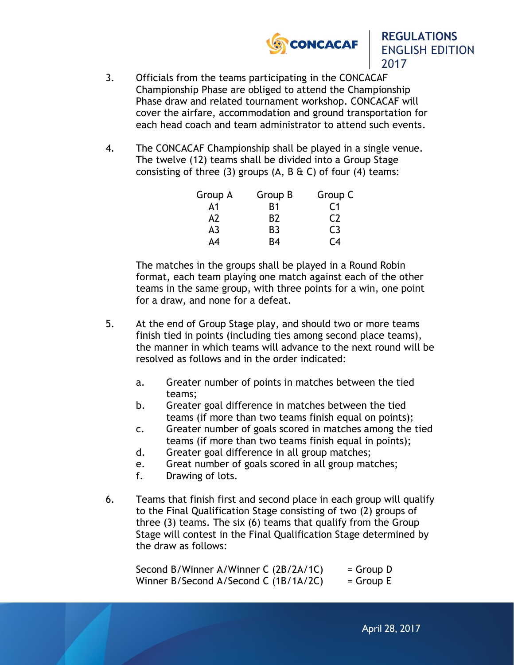

2017

- 3. Officials from the teams participating in the CONCACAF Championship Phase are obliged to attend the Championship Phase draw and related tournament workshop. CONCACAF will cover the airfare, accommodation and ground transportation for each head coach and team administrator to attend such events.
- 4. The CONCACAF Championship shall be played in a single venue. The twelve (12) teams shall be divided into a Group Stage consisting of three (3) groups  $(A, B \& C)$  of four  $(4)$  teams:

| Group A | Group B        | Group C |
|---------|----------------|---------|
| А1      | B1             | C1      |
| A2      | B2             | C2      |
| A3      | B <sub>3</sub> | C3      |
| Δ4      | R4             | C4      |

The matches in the groups shall be played in a Round Robin format, each team playing one match against each of the other teams in the same group, with three points for a win, one point for a draw, and none for a defeat.

- 5. At the end of Group Stage play, and should two or more teams finish tied in points (including ties among second place teams), the manner in which teams will advance to the next round will be resolved as follows and in the order indicated:
	- a. Greater number of points in matches between the tied teams;
	- b. Greater goal difference in matches between the tied teams (if more than two teams finish equal on points);
	- c. Greater number of goals scored in matches among the tied teams (if more than two teams finish equal in points);
	- d. Greater goal difference in all group matches;
	- e. Great number of goals scored in all group matches;
	- f. Drawing of lots.
- 6. Teams that finish first and second place in each group will qualify to the Final Qualification Stage consisting of two (2) groups of three (3) teams. The six (6) teams that qualify from the Group Stage will contest in the Final Qualification Stage determined by the draw as follows:

| Second B/Winner A/Winner C (2B/2A/1C) | $=$ Group D |
|---------------------------------------|-------------|
| Winner B/Second A/Second C (1B/1A/2C) | $=$ Group E |

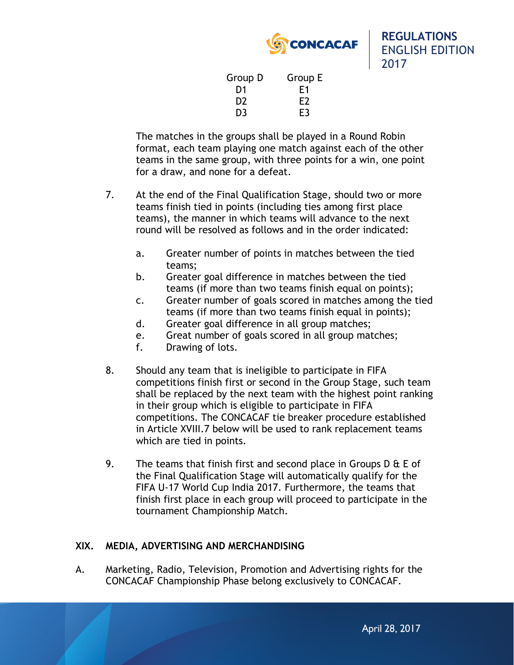

| Group D        | Group E |
|----------------|---------|
| D1             | F1      |
| D <sub>2</sub> | F2      |
| D <sub>3</sub> | E3      |

The matches in the groups shall be played in a Round Robin format, each team playing one match against each of the other teams in the same group, with three points for a win, one point for a draw, and none for a defeat.

- 7. At the end of the Final Qualification Stage, should two or more teams finish tied in points (including ties among first place teams), the manner in which teams will advance to the next round will be resolved as follows and in the order indicated:
	- a. Greater number of points in matches between the tied teams;
	- b. Greater goal difference in matches between the tied teams (if more than two teams finish equal on points);
	- c. Greater number of goals scored in matches among the tied teams (if more than two teams finish equal in points);
	- d. Greater goal difference in all group matches;
	- e. Great number of goals scored in all group matches;
	- f. Drawing of lots.
- 8. Should any team that is ineligible to participate in FIFA competitions finish first or second in the Group Stage, such team shall be replaced by the next team with the highest point ranking in their group which is eligible to participate in FIFA competitions. The CONCACAF tie breaker procedure established in Article XVIII.7 below will be used to rank replacement teams which are tied in points.
- 9. The teams that finish first and second place in Groups  $D \& E$  of the Final Qualification Stage will automatically qualify for the FIFA U-17 World Cup India 2017. Furthermore, the teams that finish first place in each group will proceed to participate in the tournament Championship Match.

## **XIX. MEDIA, ADVERTISING AND MERCHANDISING**

A. Marketing, Radio, Television, Promotion and Advertising rights for the CONCACAF Championship Phase belong exclusively to CONCACAF.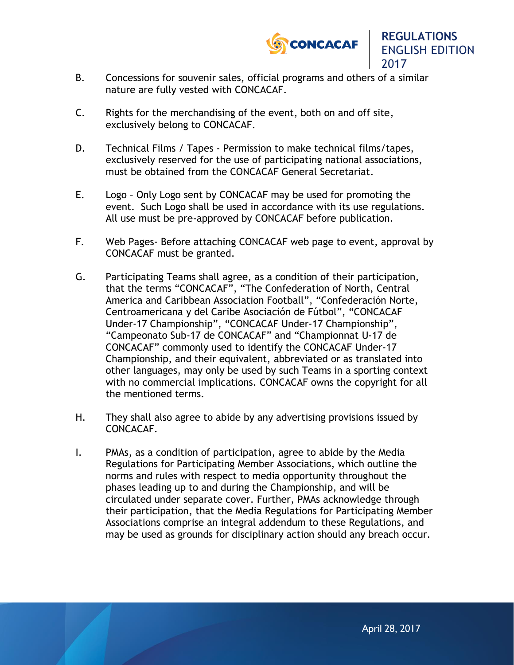

- B. Concessions for souvenir sales, official programs and others of a similar nature are fully vested with CONCACAF.
- C. Rights for the merchandising of the event, both on and off site, exclusively belong to CONCACAF.
- D. Technical Films / Tapes Permission to make technical films/tapes, exclusively reserved for the use of participating national associations, must be obtained from the CONCACAF General Secretariat.
- E. Logo Only Logo sent by CONCACAF may be used for promoting the event. Such Logo shall be used in accordance with its use regulations. All use must be pre-approved by CONCACAF before publication.
- F. Web Pages- Before attaching CONCACAF web page to event, approval by CONCACAF must be granted.
- G. Participating Teams shall agree, as a condition of their participation, that the terms "CONCACAF", "The Confederation of North, Central America and Caribbean Association Football", "Confederación Norte, Centroamericana y del Caribe Asociación de Fútbol", "CONCACAF Under-17 Championship", "CONCACAF Under-17 Championship", "Campeonato Sub-17 de CONCACAF" and "Championnat U-17 de CONCACAF" commonly used to identify the CONCACAF Under-17 Championship, and their equivalent, abbreviated or as translated into other languages, may only be used by such Teams in a sporting context with no commercial implications. CONCACAF owns the copyright for all the mentioned terms.
- H. They shall also agree to abide by any advertising provisions issued by CONCACAF.
- I. PMAs, as a condition of participation, agree to abide by the Media Regulations for Participating Member Associations, which outline the norms and rules with respect to media opportunity throughout the phases leading up to and during the Championship, and will be circulated under separate cover. Further, PMAs acknowledge through their participation, that the Media Regulations for Participating Member Associations comprise an integral addendum to these Regulations, and may be used as grounds for disciplinary action should any breach occur.